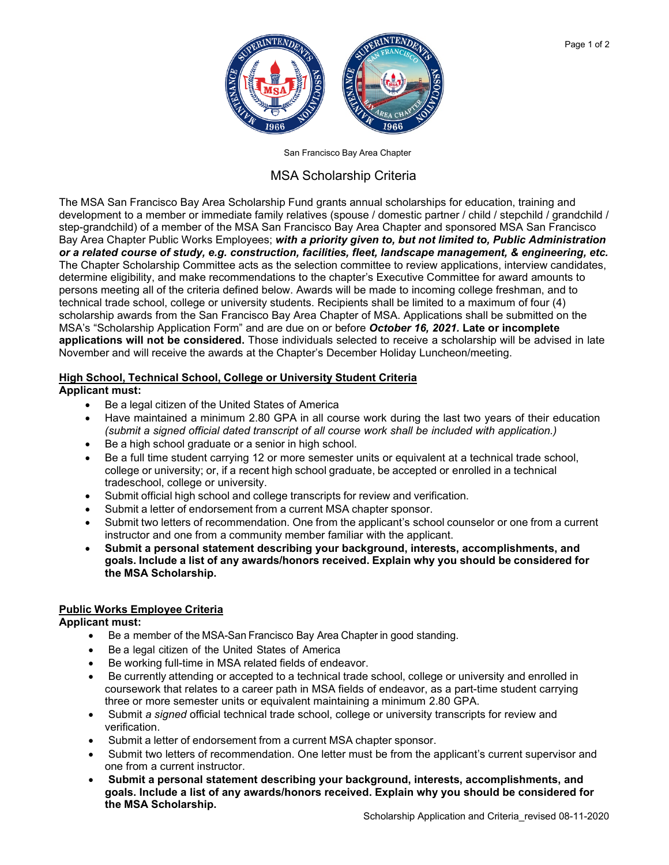

San Francisco Bay Area Chapter

## MSA Scholarship Criteria

The MSA San Francisco Bay Area Scholarship Fund grants annual scholarships for education, training and development to a member or immediate family relatives (spouse / domestic partner / child / stepchild / grandchild / step-grandchild) of a member of the MSA San Francisco Bay Area Chapter and sponsored MSA San Francisco Bay Area Chapter Public Works Employees; *with a priority given to, but not limited to, Public Administration or a related course of study, e.g. construction, facilities, fleet, landscape management, & engineering, etc.* The Chapter Scholarship Committee acts as the selection committee to review applications, interview candidates, determine eligibility, and make recommendations to the chapter's Executive Committee for award amounts to persons meeting all of the criteria defined below. Awards will be made to incoming college freshman, and to technical trade school, college or university students. Recipients shall be limited to a maximum of four (4) scholarship awards from the San Francisco Bay Area Chapter of MSA. Applications shall be submitted on the MSA's "Scholarship Application Form" and are due on or before *October 16, 2021.* **Late or incomplete applications will not be considered.** Those individuals selected to receive a scholarship will be advised in late November and will receive the awards at the Chapter's December Holiday Luncheon/meeting.

# **High School, Technical School, College or University Student Criteria**

#### **Applicant must:**

- Be a legal citizen of the United States of America
- Have maintained a minimum 2.80 GPA in all course work during the last two years of their education *(submit a signed official dated transcript of all course work shall be included with application.)*
- Be a high school graduate or a senior in high school.
- Be a full time student carrying 12 or more semester units or equivalent at a technical trade school, college or university; or, if a recent high school graduate, be accepted or enrolled in a technical tradeschool, college or university.
- Submit official high school and college transcripts for review and verification.
- Submit a letter of endorsement from a current MSA chapter sponsor.
- Submit two letters of recommendation. One from the applicant's school counselor or one from a current instructor and one from a community member familiar with the applicant.
- **Submit a personal statement describing your background, interests, accomplishments, and goals. Include a list of any awards/honors received. Explain why you should be considered for the MSA Scholarship.**

#### **Public Works Employee Criteria**

**Applicant must:**

- Be a member of the MSA-San Francisco Bay Area Chapter in good standing.
- Be a legal citizen of the United States of America
- Be working full-time in MSA related fields of endeavor.
- Be currently attending or accepted to a technical trade school, college or university and enrolled in coursework that relates to a career path in MSA fields of endeavor, as a part-time student carrying three or more semester units or equivalent maintaining a minimum 2.80 GPA.
- Submit *a signed* official technical trade school, college or university transcripts for review and verification.
- Submit a letter of endorsement from a current MSA chapter sponsor.
- Submit two letters of recommendation. One letter must be from the applicant's current supervisor and one from a current instructor.
- **Submit a personal statement describing your background, interests, accomplishments, and goals. Include a list of any awards/honors received. Explain why you should be considered for the MSA Scholarship.**